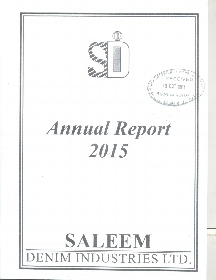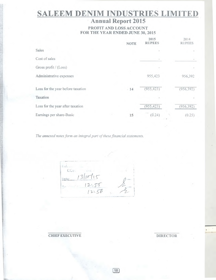# **SALEEM DENIM INDUSTRIES LIMITED**

# **Annual Report 2015**

### **PROFIT AND LOSS ACCOUNT FOR THE YEAR ENDED JUNE 30, 2015**

|                                   | <b>NOTE</b> | 2015<br><b>RUPEES</b> | 2014<br><b>RUPEES</b> |
|-----------------------------------|-------------|-----------------------|-----------------------|
| Sales                             |             |                       |                       |
| Cost of sales                     |             |                       |                       |
| Gross profit / (Loss)             |             |                       |                       |
| Administrative expenses           |             | 955,423               | 956,392               |
| Loss for the year before taxation | .14         | (955, 423)            | (956, 392)            |
| Taxation                          |             |                       |                       |
| Loss for the year after taxation  |             | (955, 423)            | (956, 392)            |
| Earnings per share-Basic          | 15          | (0.24)                | (0.25)                |

*The annexed notes form an integral part of these financial statements.* 

 $E = L$  $COL$ 3 10 Babe  $12.55$ <br> $12.56$ 

**CHIEF EXECUTIVE DIRECTOR**